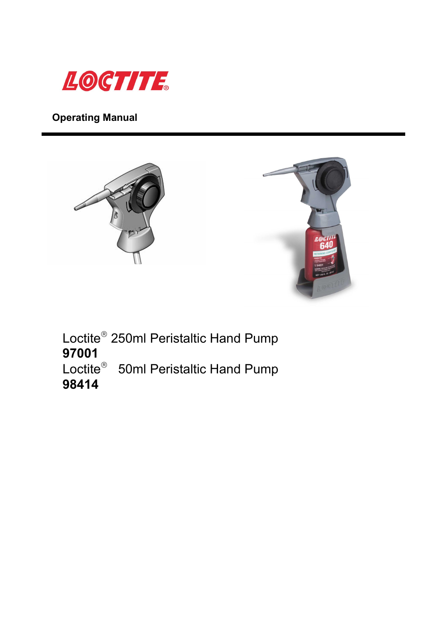

**Operating Manual**





Loctite<sup>®</sup> 250ml Peristaltic Hand Pump **97001**  Loctite<sup>®</sup> 50ml Peristaltic Hand Pump **98414**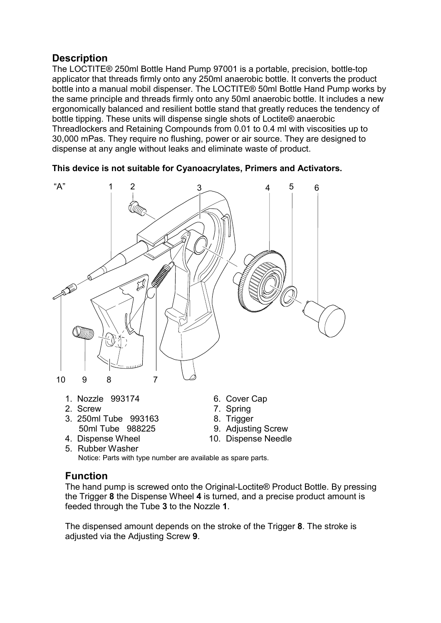## **Description**

The LOCTITE® 250ml Bottle Hand Pump 97001 is a portable, precision, bottle-top applicator that threads firmly onto any 250ml anaerobic bottle. It converts the product bottle into a manual mobil dispenser. The LOCTITE® 50ml Bottle Hand Pump works by the same principle and threads firmly onto any 50ml anaerobic bottle. It includes a new ergonomically balanced and resilient bottle stand that greatly reduces the tendency of bottle tipping. These units will dispense single shots of Loctite® anaerobic Threadlockers and Retaining Compounds from 0.01 to 0.4 ml with viscosities up to 30,000 mPas. They require no flushing, power or air source. They are designed to dispense at any angle without leaks and eliminate waste of product.

**This device is not suitable for Cyanoacrylates, Primers and Activators.** 



- 50ml Tube 988225 9. Adjusting Screw
- 4. Dispense Wheel 10. Dispense Needle
- 5. Rubber Washer Notice: Parts with type number are available as spare parts.
- 
- 
- 

### **Function**

The hand pump is screwed onto the Original-Loctite® Product Bottle. By pressing the Trigger **8** the Dispense Wheel **4** is turned, and a precise product amount is feeded through the Tube **3** to the Nozzle **1**.

The dispensed amount depends on the stroke of the Trigger **8**. The stroke is adjusted via the Adjusting Screw **9**.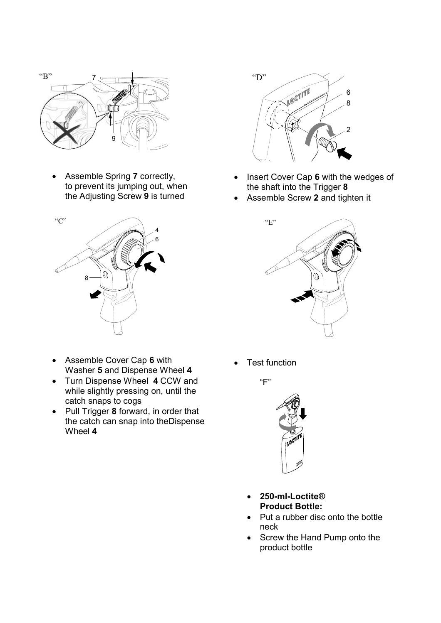

• Assemble Spring **7** correctly, to prevent its jumping out, when the Adjusting Screw **9** is turned



- Assemble Cover Cap **6** with Washer **5** and Dispense Wheel **4**
- Turn Dispense Wheel **4** CCW and while slightly pressing on, until the catch snaps to cogs
- Pull Trigger **8** forward, in order that the catch can snap into theDispense Wheel **4**



- Insert Cover Cap **6** with the wedges of the shaft into the Trigger **8**
- Assemble Screw **2** and tighten it



**Test function** 





- **250-ml-Loctite® Product Bottle:**
- Put a rubber disc onto the bottle neck
- Screw the Hand Pump onto the product bottle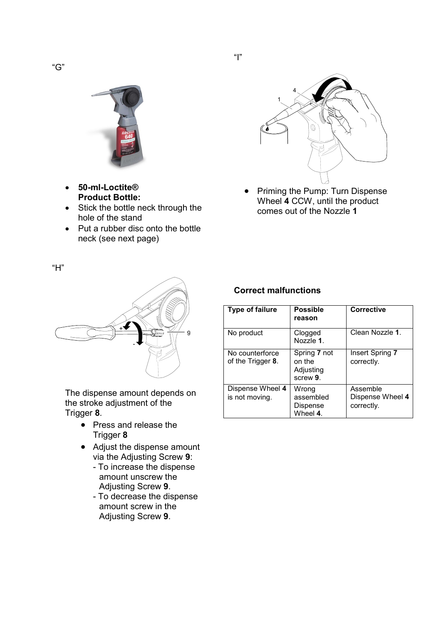

- **50-ml-Loctite® Product Bottle:**
- Stick the bottle neck through the hole of the stand
- Put a rubber disc onto the bottle neck (see next page)



• Priming the Pump: Turn Dispense Wheel **4** CCW, until the product comes out of the Nozzle **1**



The dispense amount depends on the stroke adjustment of the Trigger **8**.

- Press and release the Trigger **8**
- Adjust the dispense amount via the Adjusting Screw **9**:
	- To increase the dispense amount unscrew the Adjusting Screw **9**.
	- To decrease the dispense amount screw in the Adjusting Screw **9**.

#### **Correct malfunctions**

| <b>Type of failure</b>               | <b>Possible</b><br>reason                       | <b>Corrective</b>                          |
|--------------------------------------|-------------------------------------------------|--------------------------------------------|
| No product                           | Clogged<br>Nozzle 1.                            | Clean Nozzle 1.                            |
| No counterforce<br>of the Trigger 8. | Spring 7 not<br>on the<br>Adjusting<br>screw 9. | Insert Spring 7<br>correctly.              |
| Dispense Wheel 4<br>is not moving.   | Wrong<br>assembled<br>Dispense<br>Wheel 4.      | Assemble<br>Dispense Wheel 4<br>correctly. |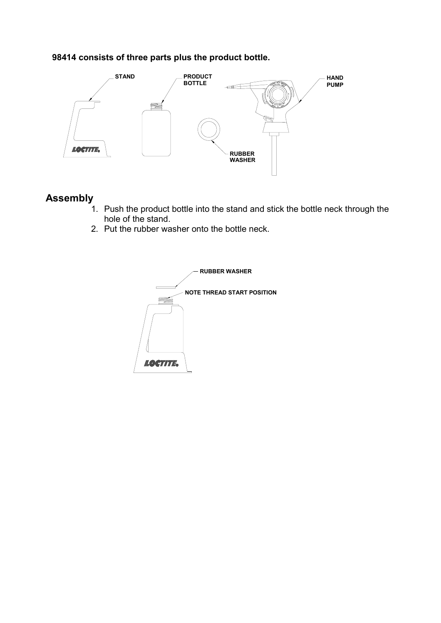### **98414 consists of three parts plus the product bottle.**



# **Assembly**

- 1. Push the product bottle into the stand and stick the bottle neck through the hole of the stand.
- 2. Put the rubber washer onto the bottle neck.

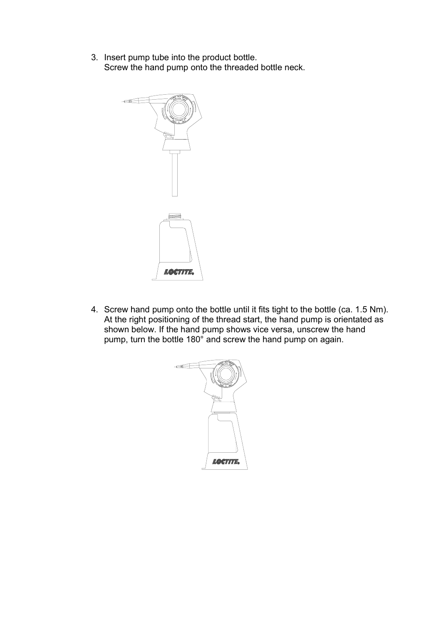3. Insert pump tube into the product bottle. Screw the hand pump onto the threaded bottle neck.



4. Screw hand pump onto the bottle until it fits tight to the bottle (ca. 1.5 Nm). At the right positioning of the thread start, the hand pump is orientated as shown below. If the hand pump shows vice versa, unscrew the hand pump, turn the bottle 180° and screw the hand pump on again.